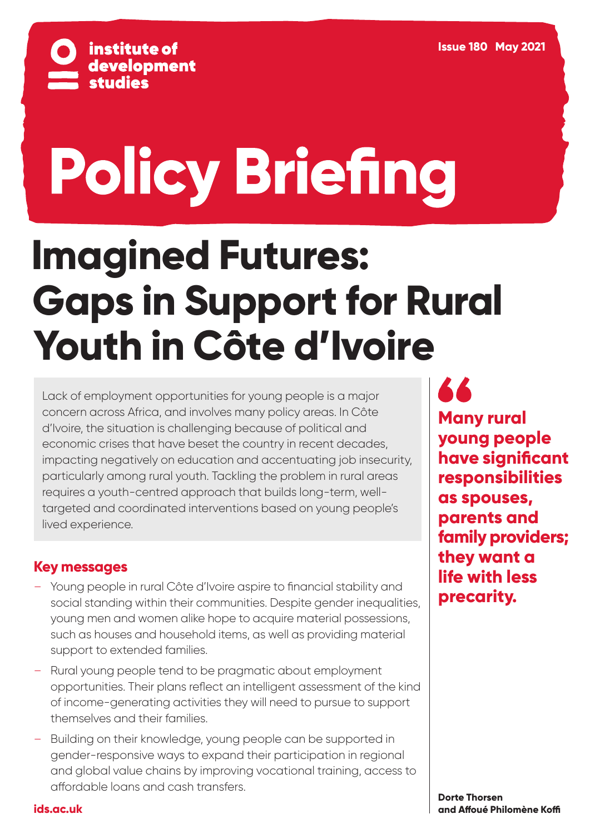

# **Policy Briefing**

# **Imagined Futures: Gaps in Support for Rural Youth in Côte d'Ivoire**

Lack of employment opportunities for young people is a major concern across Africa, and involves many policy areas. In Côte d'Ivoire, the situation is challenging because of political and economic crises that have beset the country in recent decades, impacting negatively on education and accentuating job insecurity, particularly among rural youth. Tackling the problem in rural areas requires a youth-centred approach that builds long-term, welltargeted and coordinated interventions based on young people's lived experience.

# **Key messages**

- Young people in rural Côte d'Ivoire aspire to financial stability and social standing within their communities. Despite gender inequalities, young men and women alike hope to acquire material possessions, such as houses and household items, as well as providing material support to extended families.
- Rural young people tend to be pragmatic about employment opportunities. Their plans reflect an intelligent assessment of the kind of income-generating activities they will need to pursue to support themselves and their families.
- Building on their knowledge, young people can be supported in gender-responsive ways to expand their participation in regional and global value chains by improving vocational training, access to affordable loans and cash transfers.

**44 Many rural young people have significant responsibilities as spouses, parents and family providers; they want a life with less precarity.**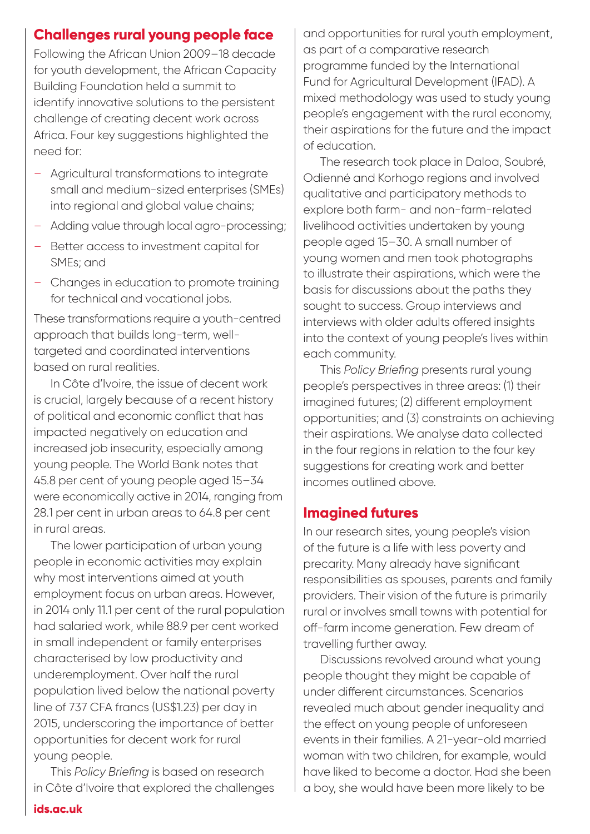# **Challenges rural young people face**

Following the African Union 2009–18 decade for youth development, the African Capacity Building Foundation held a summit to identify innovative solutions to the persistent challenge of creating decent work across Africa. Four key suggestions highlighted the need for:

- Agricultural transformations to integrate small and medium-sized enterprises (SMEs) into regional and global value chains;
- Adding value through local agro-processing;
- Better access to investment capital for SMEs; and
- Changes in education to promote training for technical and vocational jobs.

These transformations require a youth-centred approach that builds long-term, welltargeted and coordinated interventions based on rural realities.

In Côte d'Ivoire, the issue of decent work is crucial, largely because of a recent history of political and economic conflict that has impacted negatively on education and increased job insecurity, especially among young people. The World Bank notes that 45.8 per cent of young people aged 15–34 were economically active in 2014, ranging from 28.1 per cent in urban areas to 64.8 per cent in rural areas.

The lower participation of urban young people in economic activities may explain why most interventions aimed at youth employment focus on urban areas. However, in 2014 only 11.1 per cent of the rural population had salaried work, while 88.9 per cent worked in small independent or family enterprises characterised by low productivity and underemployment. Over half the rural population lived below the national poverty line of 737 CFA francs (US\$1.23) per day in 2015, underscoring the importance of better opportunities for decent work for rural young people.

This *Policy Briefing* is based on research in Côte d'Ivoire that explored the challenges

and opportunities for rural youth employment, as part of a comparative research programme funded by the International Fund for Agricultural Development (IFAD). A mixed methodology was used to study young people's engagement with the rural economy, their aspirations for the future and the impact of education.

The research took place in Daloa, Soubré, Odienné and Korhogo regions and involved qualitative and participatory methods to explore both farm- and non-farm-related livelihood activities undertaken by young people aged 15–30. A small number of young women and men took photographs to illustrate their aspirations, which were the basis for discussions about the paths they sought to success. Group interviews and interviews with older adults offered insights into the context of young people's lives within each community.

This *Policy Briefing* presents rural young people's perspectives in three areas: (1) their imagined futures; (2) different employment opportunities; and (3) constraints on achieving their aspirations. We analyse data collected in the four regions in relation to the four key suggestions for creating work and better incomes outlined above.

## **Imagined futures**

In our research sites, young people's vision of the future is a life with less poverty and precarity. Many already have significant responsibilities as spouses, parents and family providers. Their vision of the future is primarily rural or involves small towns with potential for off-farm income generation. Few dream of travelling further away.

Discussions revolved around what young people thought they might be capable of under different circumstances. Scenarios revealed much about gender inequality and the effect on young people of unforeseen events in their families. A 21-year-old married woman with two children, for example, would have liked to become a doctor. Had she been a boy, she would have been more likely to be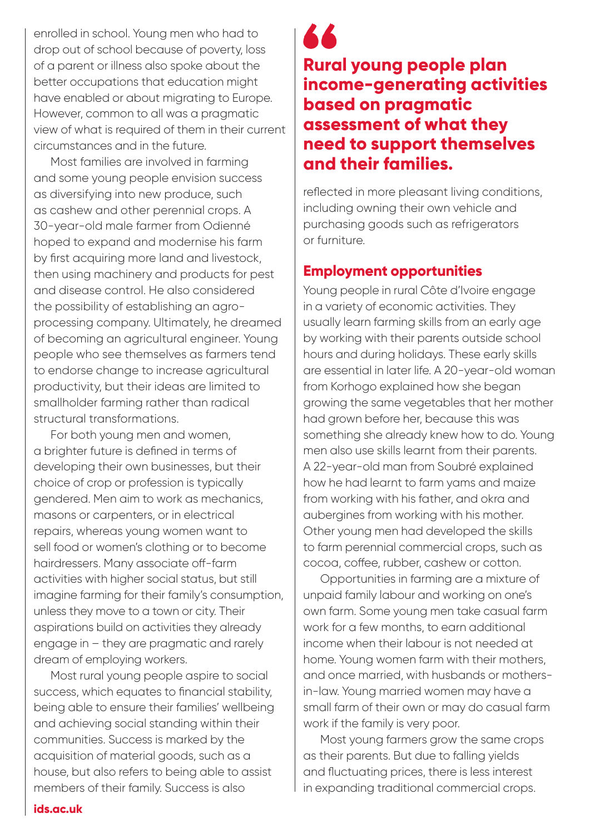enrolled in school. Young men who had to drop out of school because of poverty, loss of a parent or illness also spoke about the better occupations that education might have enabled or about migrating to Europe. However, common to all was a pragmatic view of what is required of them in their current circumstances and in the future.

Most families are involved in farming and some young people envision success as diversifying into new produce, such as cashew and other perennial crops. A 30-year-old male farmer from Odienné hoped to expand and modernise his farm by first acquiring more land and livestock, then using machinery and products for pest and disease control. He also considered the possibility of establishing an agroprocessing company. Ultimately, he dreamed of becoming an agricultural engineer. Young people who see themselves as farmers tend to endorse change to increase agricultural productivity, but their ideas are limited to smallholder farming rather than radical structural transformations.

For both young men and women, a brighter future is defined in terms of developing their own businesses, but their choice of crop or profession is typically gendered. Men aim to work as mechanics, masons or carpenters, or in electrical repairs, whereas young women want to sell food or women's clothing or to become hairdressers. Many associate off-farm activities with higher social status, but still imagine farming for their family's consumption, unless they move to a town or city. Their aspirations build on activities they already engage in – they are pragmatic and rarely dream of employing workers.

Most rural young people aspire to social success, which equates to financial stability, being able to ensure their families' wellbeing and achieving social standing within their communities. Success is marked by the acquisition of material goods, such as a house, but also refers to being able to assist members of their family. Success is also

**44 Rural young people plan income-generating activities based on pragmatic assessment of what they need to support themselves and their families.** 

reflected in more pleasant living conditions, including owning their own vehicle and purchasing goods such as refrigerators or furniture.

# **Employment opportunities**

Young people in rural Côte d'Ivoire engage in a variety of economic activities. They usually learn farming skills from an early age by working with their parents outside school hours and during holidays. These early skills are essential in later life. A 20-year-old woman from Korhogo explained how she began growing the same vegetables that her mother had grown before her, because this was something she already knew how to do. Young men also use skills learnt from their parents. A 22-year-old man from Soubré explained how he had learnt to farm yams and maize from working with his father, and okra and aubergines from working with his mother. Other young men had developed the skills to farm perennial commercial crops, such as cocoa, coffee, rubber, cashew or cotton.

Opportunities in farming are a mixture of unpaid family labour and working on one's own farm. Some young men take casual farm work for a few months, to earn additional income when their labour is not needed at home. Young women farm with their mothers, and once married, with husbands or mothersin-law. Young married women may have a small farm of their own or may do casual farm work if the family is very poor.

Most young farmers grow the same crops as their parents. But due to falling yields and fluctuating prices, there is less interest in expanding traditional commercial crops.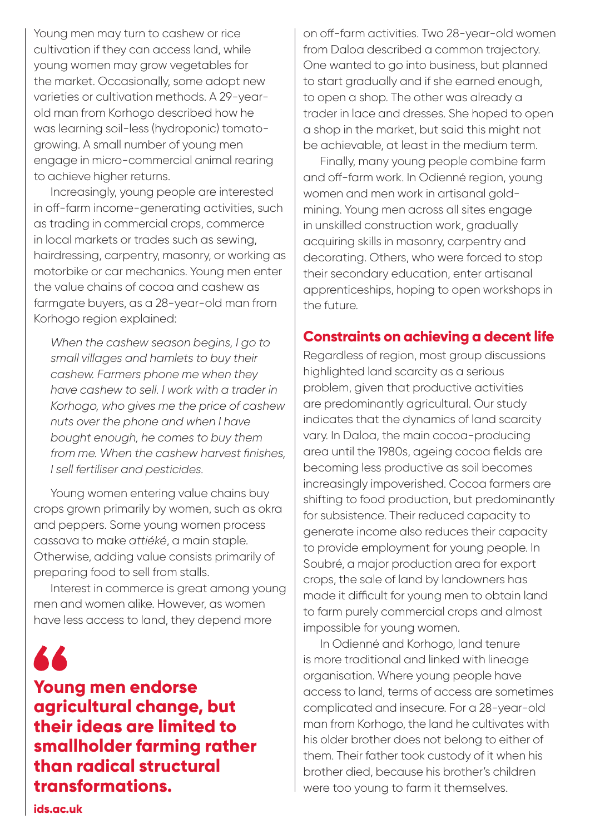Young men may turn to cashew or rice cultivation if they can access land, while young women may grow vegetables for the market. Occasionally, some adopt new varieties or cultivation methods. A 29-yearold man from Korhogo described how he was learning soil-less (hydroponic) tomatogrowing. A small number of young men engage in micro-commercial animal rearing to achieve higher returns.

Increasingly, young people are interested in off-farm income-generating activities, such as trading in commercial crops, commerce in local markets or trades such as sewing, hairdressing, carpentry, masonry, or working as motorbike or car mechanics. Young men enter the value chains of cocoa and cashew as farmgate buyers, as a 28-year-old man from Korhogo region explained:

*When the cashew season begins, I go to small villages and hamlets to buy their cashew. Farmers phone me when they have cashew to sell. I work with a trader in Korhogo, who gives me the price of cashew nuts over the phone and when I have bought enough, he comes to buy them from me. When the cashew harvest finishes, I sell fertiliser and pesticides.* 

Young women entering value chains buy crops grown primarily by women, such as okra and peppers. Some young women process cassava to make *attiéké*, a main staple. Otherwise, adding value consists primarily of preparing food to sell from stalls.

Interest in commerce is great among young men and women alike. However, as women have less access to land, they depend more

66

**Young men endorse agricultural change, but their ideas are limited to smallholder farming rather than radical structural transformations.**

on off-farm activities. Two 28-year-old women from Daloa described a common trajectory. One wanted to go into business, but planned to start gradually and if she earned enough, to open a shop. The other was already a trader in lace and dresses. She hoped to open a shop in the market, but said this might not be achievable, at least in the medium term.

Finally, many young people combine farm and off-farm work. In Odienné region, young women and men work in artisanal goldmining. Young men across all sites engage in unskilled construction work, gradually acquiring skills in masonry, carpentry and decorating. Others, who were forced to stop their secondary education, enter artisanal apprenticeships, hoping to open workshops in the future.

# **Constraints on achieving a decent life**

Regardless of region, most group discussions highlighted land scarcity as a serious problem, given that productive activities are predominantly agricultural. Our study indicates that the dynamics of land scarcity vary. In Daloa, the main cocoa-producing area until the 1980s, ageing cocoa fields are becoming less productive as soil becomes increasingly impoverished. Cocoa farmers are shifting to food production, but predominantly for subsistence. Their reduced capacity to generate income also reduces their capacity to provide employment for young people. In Soubré, a major production area for export crops, the sale of land by landowners has made it difficult for young men to obtain land to farm purely commercial crops and almost impossible for young women.

In Odienné and Korhogo, land tenure is more traditional and linked with lineage organisation. Where young people have access to land, terms of access are sometimes complicated and insecure. For a 28-year-old man from Korhogo, the land he cultivates with his older brother does not belong to either of them. Their father took custody of it when his brother died, because his brother's children were too young to farm it themselves.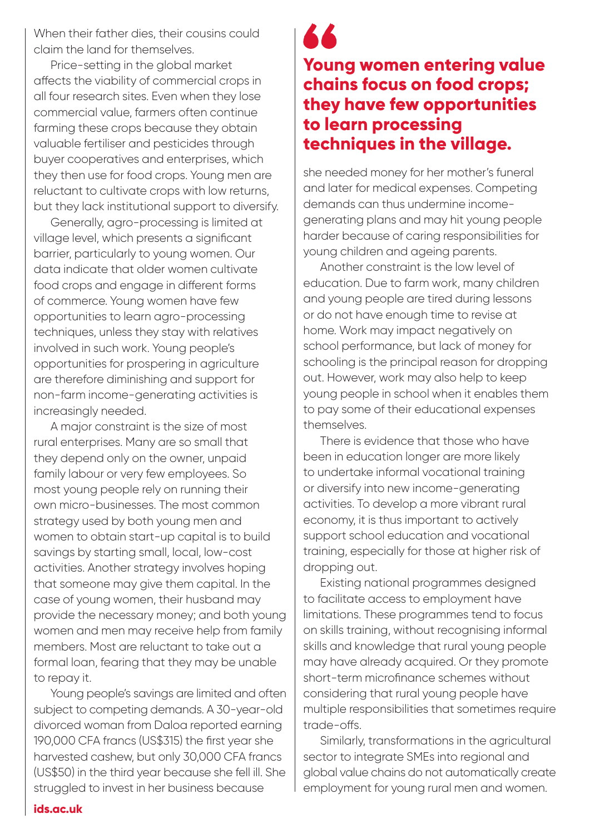When their father dies, their cousins could claim the land for themselves.

Price-setting in the global market affects the viability of commercial crops in all four research sites. Even when they lose commercial value, farmers often continue farming these crops because they obtain valuable fertiliser and pesticides through buyer cooperatives and enterprises, which they then use for food crops. Young men are reluctant to cultivate crops with low returns, but they lack institutional support to diversify.

Generally, agro-processing is limited at village level, which presents a significant barrier, particularly to young women. Our data indicate that older women cultivate food crops and engage in different forms of commerce. Young women have few opportunities to learn agro-processing techniques, unless they stay with relatives involved in such work. Young people's opportunities for prospering in agriculture are therefore diminishing and support for non-farm income-generating activities is increasingly needed.

A major constraint is the size of most rural enterprises. Many are so small that they depend only on the owner, unpaid family labour or very few employees. So most young people rely on running their own micro-businesses. The most common strategy used by both young men and women to obtain start-up capital is to build savings by starting small, local, low-cost activities. Another strategy involves hoping that someone may give them capital. In the case of young women, their husband may provide the necessary money; and both young women and men may receive help from family members. Most are reluctant to take out a formal loan, fearing that they may be unable to repay it.

Young people's savings are limited and often subject to competing demands. A 30-year-old divorced woman from Daloa reported earning 190,000 CFA francs (US\$315) the first year she harvested cashew, but only 30,000 CFA francs (US\$50) in the third year because she fell ill. She struggled to invest in her business because

# **Young women entering value chains focus on food crops; they have few opportunities to learn processing techniques in the village.**

she needed money for her mother's funeral and later for medical expenses. Competing demands can thus undermine incomegenerating plans and may hit young people harder because of caring responsibilities for young children and ageing parents.

Another constraint is the low level of education. Due to farm work, many children and young people are tired during lessons or do not have enough time to revise at home. Work may impact negatively on school performance, but lack of money for schooling is the principal reason for dropping out. However, work may also help to keep young people in school when it enables them to pay some of their educational expenses themselves.

There is evidence that those who have been in education longer are more likely to undertake informal vocational training or diversify into new income-generating activities. To develop a more vibrant rural economy, it is thus important to actively support school education and vocational training, especially for those at higher risk of dropping out.

Existing national programmes designed to facilitate access to employment have limitations. These programmes tend to focus on skills training, without recognising informal skills and knowledge that rural young people may have already acquired. Or they promote short-term microfinance schemes without considering that rural young people have multiple responsibilities that sometimes require trade-offs.

Similarly, transformations in the agricultural sector to integrate SMEs into regional and global value chains do not automatically create employment for young rural men and women.